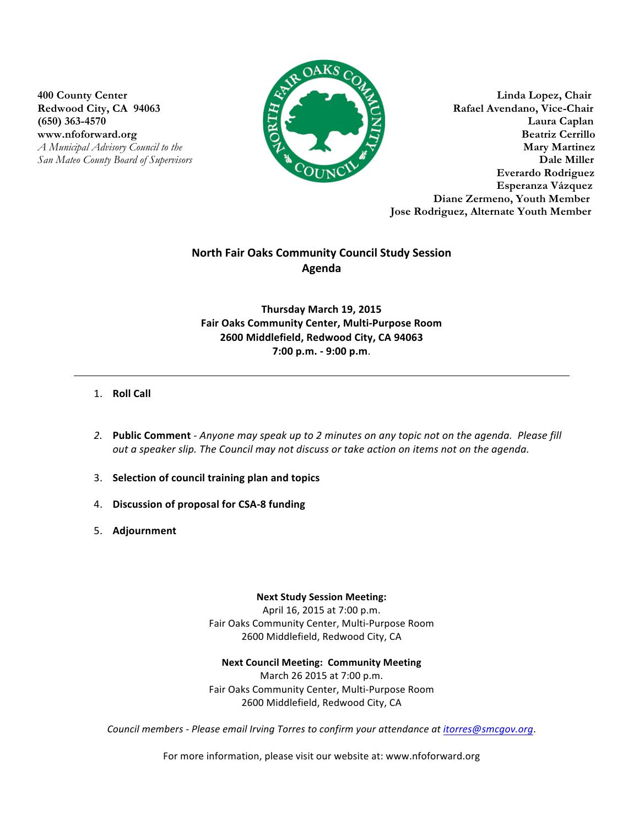



**400 County Center Linda Lopez, Chair Redwood City, CA 94063 Rafael Avendano, Vice-Chair (650) 363-4570 Laura Caplan** www.nfoforward.org **Beatriz Cerrillo** *A**Municipal Advisory Council to the* **<b>***Mary Martinez San Mateo County Board of Supervisors* **Dale Miller Everardo Rodriguez Esperanza Vázquez Diane Zermeno, Youth Member Jose Rodriguez, Alternate Youth Member**

## **North Fair Oaks Community Council Study Session Agenda**

## **Thursday March 19, 2015 Fair Oaks Community Center, Multi-Purpose Room 2600 Middlefield, Redwood City, CA 94063 7:00 p.m. - 9:00 p.m**.

## 1. **Roll Call**

- 2. Public Comment Anyone may speak up to 2 minutes on any topic not on the agenda. Please fill *out a speaker slip. The Council may not discuss or take action on items not on the agenda.*
- 3. **Selection of council training plan and topics**
- 4. **Discussion of proposal for CSA-8 funding**
- 5. **Adjournment**

**Next Study Session Meeting:**

April 16, 2015 at 7:00 p.m. Fair Oaks Community Center, Multi-Purpose Room 2600 Middlefield, Redwood City, CA

**Next Council Meeting: Community Meeting** March 26 2015 at 7:00 p.m. Fair Oaks Community Center, Multi-Purpose Room

2600 Middlefield, Redwood City, CA

*Council members - Please email Irving Torres to confirm your attendance at itorres@smcgov.org.* 

For more information, please visit our website at: www.nfoforward.org